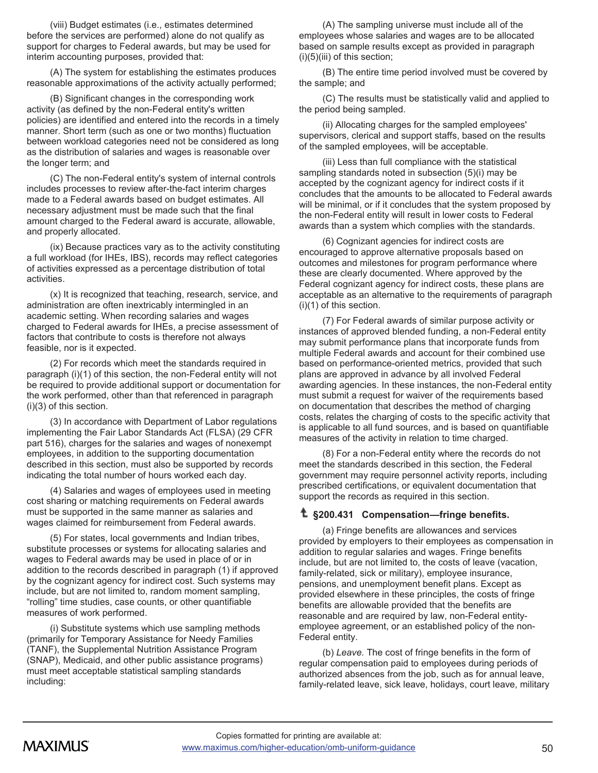(viii) Budget estimates (i.e., estimates determined before the services are performed) alone do not qualify as support for charges to Federal awards, but may be used for interim accounting purposes, provided that:

(A) The system for establishing the estimates produces reasonable approximations of the activity actually performed;

(B) Significant changes in the corresponding work activity (as defined by the non -Federal entity's written policies) are identified and entered into the records in a timely manner. Short term (such as one or two months) fluctuation between workload categories need not be considered as long as the distribution of salaries and wages is reasonable over the longer term; and

(C) The non -Federal entity's system of internal controls includes processes to review after -the -fact interim charges made to a Federal awards based on budget estimates. All necessary adjustment must be made such that the final amount charged to the Federal award is accurate, allowable, and properly allocated.

(ix) Because practices vary as to the activity constituting a full workload (for IHEs, IBS), records may reflect categories of activities expressed as a percentage distribution of total activities.

(x) It is recognized that teaching, research, service, and administration are often inextricably intermingled in an academic setting. When recording salaries and wages charged to Federal awards for IHEs, a precise assessment of factors that contribute to costs is therefore not always feasible, nor is it expected.

(2) For records which meet the standards required in paragraph (i)(1) of this section, the non -Federal entity will not be required to provide additional support or documentation for the work performed, other than that referenced in paragraph (i)(3) of this section.

(3) In accordance with Department of Labor regulations implementing the Fair Labor Standards Act (FLSA) (29 CFR part 516), charges for the salaries and wages of nonexempt employees, in addition to the supporting documentation described in this section, must also be supported by records indicating the total number of hours worked each day.

(4) Salaries and wages of employees used in meeting cost sharing or matching requirements on Federal awards must be supported in the same manner as salaries and wages claimed for reimbursement from Federal awards.

(5) For states, local governments and Indian tribes, substitute processes or systems for allocating salaries and wages to Federal awards may be used in place of or in addition to the records described in paragraph (1) if approved by the cognizant agency for indirect cost. Such systems may include, but are not limited to, random moment sampling, "rolling" time studies, case counts, or other quantifiable measures of work performed.

(i) Substitute systems which use sampling methods (primarily for Temporary Assistance for Needy Families (TANF), the Supplemental Nutrition Assistance Program (SNAP), Medicaid, and other public assistance programs) must meet acceptable statistical sampling standards including:

(A) The sampling universe must include all of the employees whose salaries and wages are to be allocated based on sample results except as provided in paragraph  $(i)(5)(iii)$  of this section;

(B) The entire time period involved must be covered by the sample; and

(C) The results must be statistically valid and applied to the period being sampled.

(ii) Allocating charges for the sampled employees' supervisors, clerical and support staffs, based on the results of the sampled employees, will be acceptable.

(iii) Less than full compliance with the statistical sampling standards noted in subsection (5)(i) may be accepted by the cognizant agency for indirect costs if it concludes that the amounts to be allocated to Federal awards will be minimal, or if it concludes that the system proposed by the non -Federal entity will result in lower costs to Federal awards than a system which complies with the standards.

(6) Cognizant agencies for indirect costs are encouraged to approve alternative proposals based on outcomes and milestones for program performance where these are clearly documented. Where approved by the Federal cognizant agency for indirect costs, these plans are acceptable as an alternative to the requirements of paragraph (i)(1) of this section.

(7) For Federal awards of similar purpose activity or instances of approved blended funding, a non -Federal entity may submit performance plans that incorporate funds from multiple Federal awards and account for their combined use based on performance -oriented metrics, provided that such plans are approved in advance by all involved Federal awarding agencies. In these instances, the non -Federal entity must submit a request for waiver of the requirements based on documentation that describes the method of charging costs, relates the charging of costs to the specific activity that is applicable to all fund sources, and is based on quantifiable measures of the activity in relation to time charged.

(8) For a non -Federal entity where the records do not meet the standards described in this section, the Federal government may require personnel activity reports, including prescribed certifications, or equivalent documentation that support the records as required in this section.

## **§200.431 Compensation —fringe benefits.**

(a) Fringe benefits are allowances and services provided by employers to their employees as compensation in addition to regular salaries and wages. Fringe benefits include, but are not limited to, the costs of leave (vacation, family -related, sick or military), employee insurance, pensions, and unemployment benefit plans. Except a s provided elsewhere in these principles, the costs of fringe benefits are allowable provided that the benefits are reasonable and are required by law, non -Federal entity employee agreement, or an established policy of the non - Federal entity.

(b) *Leave.* The cost of fringe benefits in the form of regular compensation paid to employees during periods of authorized absences from the job, such as for annual leave, family -related leave, sick leave, holidays, court leave, military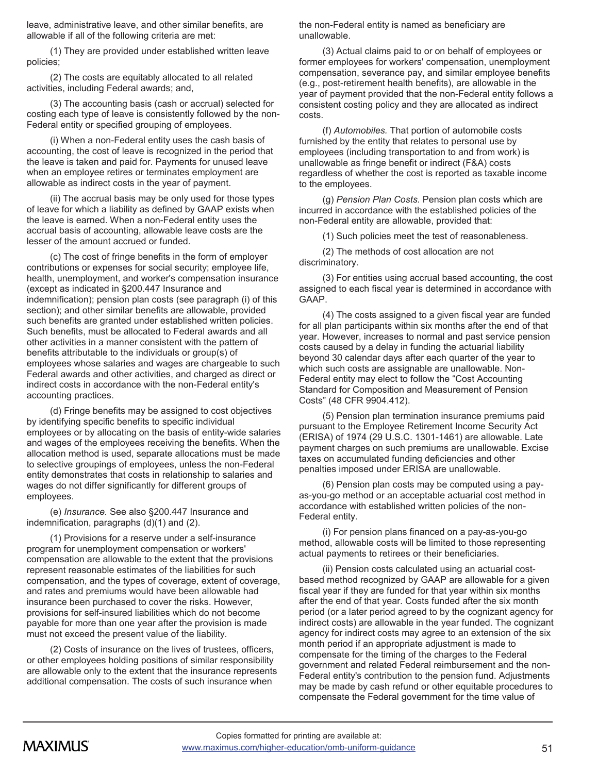leave, administrative leave, and other similar benefits, are allowable if all of the following criteria are met:

(1) They are provided under established written leave policies;

(2) The costs are equitably allocated to all related activities, including Federal awards; and,

(3) The accounting basis (cash or accrual) selected for costing each type of leave is consistently followed by the non-Federal entity or specified grouping of employees.

(i) When a non-Federal entity uses the cash basis of accounting, the cost of leave is recognized in the period that the leave is taken and paid for. Payments for unused leave when an employee retires or terminates employment are allowable as indirect costs in the year of payment.

(ii) The accrual basis may be only used for those types of leave for which a liability as defined by GAAP exists when the leave is earned. When a non-Federal entity uses the accrual basis of accounting, allowable leave costs are the lesser of the amount accrued or funded.

(c) The cost of fringe benefits in the form of employer contributions or expenses for social security; employee life, health, unemployment, and worker's compensation insurance (except as indicated in §200.447 Insurance and indemnification); pension plan costs (see paragraph (i) of this section); and other similar benefits are allowable, provided such benefits are granted under established written policies. Such benefits, must be allocated to Federal awards and all other activities in a manner consistent with the pattern of benefits attributable to the individuals or group(s) of employees whose salaries and wages are chargeable to such Federal awards and other activities, and charged as direct or indirect costs in accordance with the non-Federal entity's accounting practices.

(d) Fringe benefits may be assigned to cost objectives by identifying specific benefits to specific individual employees or by allocating on the basis of entity-wide salaries and wages of the employees receiving the benefits. When the allocation method is used, separate allocations must be made to selective groupings of employees, unless the non-Federal entity demonstrates that costs in relationship to salaries and wages do not differ significantly for different groups of employees.

(e) *Insurance.* See also §200.447 Insurance and indemnification, paragraphs (d)(1) and (2).

(1) Provisions for a reserve under a self-insurance program for unemployment compensation or workers' compensation are allowable to the extent that the provisions represent reasonable estimates of the liabilities for such compensation, and the types of coverage, extent of coverage, and rates and premiums would have been allowable had insurance been purchased to cover the risks. However, provisions for self-insured liabilities which do not become payable for more than one year after the provision is made must not exceed the present value of the liability.

(2) Costs of insurance on the lives of trustees, officers, or other employees holding positions of similar responsibility are allowable only to the extent that the insurance represents additional compensation. The costs of such insurance when

the non-Federal entity is named as beneficiary are unallowable.

(3) Actual claims paid to or on behalf of employees or former employees for workers' compensation, unemployment compensation, severance pay, and similar employee benefits (e.g., post-retirement health benefits), are allowable in the year of payment provided that the non-Federal entity follows a consistent costing policy and they are allocated as indirect costs.

(f) *Automobiles.* That portion of automobile costs furnished by the entity that relates to personal use by employees (including transportation to and from work) is unallowable as fringe benefit or indirect (F&A) costs regardless of whether the cost is reported as taxable income to the employees.

(g) *Pension Plan Costs.* Pension plan costs which are incurred in accordance with the established policies of the non-Federal entity are allowable, provided that:

(1) Such policies meet the test of reasonableness.

(2) The methods of cost allocation are not discriminatory.

(3) For entities using accrual based accounting, the cost assigned to each fiscal year is determined in accordance with GAAP.

(4) The costs assigned to a given fiscal year are funded for all plan participants within six months after the end of that year. However, increases to normal and past service pension costs caused by a delay in funding the actuarial liability beyond 30 calendar days after each quarter of the year to which such costs are assignable are unallowable. Non-Federal entity may elect to follow the "Cost Accounting Standard for Composition and Measurement of Pension Costs" (48 CFR 9904.412).

(5) Pension plan termination insurance premiums paid pursuant to the Employee Retirement Income Security Act (ERISA) of 1974 (29 U.S.C. 1301-1461) are allowable. Late payment charges on such premiums are unallowable. Excise taxes on accumulated funding deficiencies and other penalties imposed under ERISA are unallowable.

(6) Pension plan costs may be computed using a payas-you-go method or an acceptable actuarial cost method in accordance with established written policies of the non-Federal entity.

(i) For pension plans financed on a pay-as-you-go method, allowable costs will be limited to those representing actual payments to retirees or their beneficiaries.

(ii) Pension costs calculated using an actuarial costbased method recognized by GAAP are allowable for a given fiscal year if they are funded for that year within six months after the end of that year. Costs funded after the six month period (or a later period agreed to by the cognizant agency for indirect costs) are allowable in the year funded. The cognizant agency for indirect costs may agree to an extension of the six month period if an appropriate adjustment is made to compensate for the timing of the charges to the Federal government and related Federal reimbursement and the non-Federal entity's contribution to the pension fund. Adjustments may be made by cash refund or other equitable procedures to compensate the Federal government for the time value of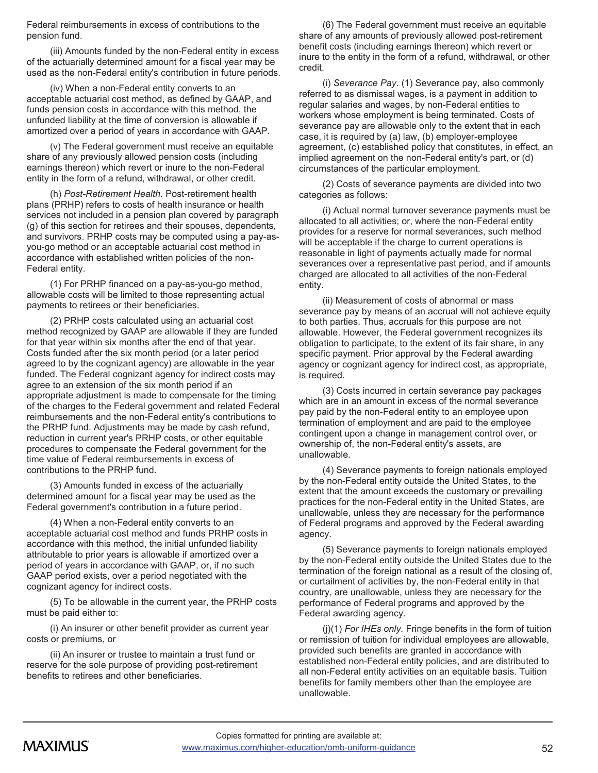Federal reimbursements in excess of contributions to the pension fund.

(iii) Amounts funded by the non-Federal entity in excess of the actuarially determined amount for a fiscal year may be used as the non-Federal entity's contribution in future periods.

(iv) When a non-Federal entity converts to an acceptable actuarial cost method, as defined by GAAP, and funds pension costs in accordance with this method, the unfunded liability at the time of conversion is allowable if amortized over a period of years in accordance with GAAP.

(v) The Federal government must receive an equitable share of any previously allowed pension costs (including earnings thereon) which revert or inure to the non-Federal entity in the form of a refund, withdrawal, or other credit.

(h) *Post-Retirement Health.* Post-retirement health plans (PRHP) refers to costs of health insurance or health services not included in a pension plan covered by paragraph (g) of this section for retirees and their spouses, dependents, and survivors. PRHP costs may be computed using a pay-asyou-go method or an acceptable actuarial cost method in accordance with established written policies of the non-Federal entity.

(1) For PRHP financed on a pay-as-you-go method, allowable costs will be limited to those representing actual payments to retirees or their beneficiaries.

(2) PRHP costs calculated using an actuarial cost method recognized by GAAP are allowable if they are funded for that year within six months after the end of that year. Costs funded after the six month period (or a later period agreed to by the cognizant agency) are allowable in the year funded. The Federal cognizant agency for indirect costs may agree to an extension of the six month period if an appropriate adjustment is made to compensate for the timing of the charges to the Federal government and related Federal reimbursements and the non-Federal entity's contributions to the PRHP fund. Adjustments may be made by cash refund, reduction in current year's PRHP costs, or other equitable procedures to compensate the Federal government for the time value of Federal reimbursements in excess of contributions to the PRHP fund.

(3) Amounts funded in excess of the actuarially determined amount for a fiscal year may be used as the Federal government's contribution in a future period.

(4) When a non-Federal entity converts to an acceptable actuarial cost method and funds PRHP costs in accordance with this method, the initial unfunded liability attributable to prior years is allowable if amortized over a period of years in accordance with GAAP, or, if no such GAAP period exists, over a period negotiated with the cognizant agency for indirect costs.

(5) To be allowable in the current year, the PRHP costs must be paid either to:

(i) An insurer or other benefit provider as current year costs or premiums, or

(ii) An insurer or trustee to maintain a trust fund or reserve for the sole purpose of providing post-retirement benefits to retirees and other beneficiaries.

(6) The Federal government must receive an equitable share of any amounts of previously allowed post-retirement benefit costs (including earnings thereon) which revert or inure to the entity in the form of a refund, withdrawal, or other credit.

(i) *Severance Pay.* (1) Severance pay, also commonly referred to as dismissal wages, is a payment in addition to regular salaries and wages, by non-Federal entities to workers whose employment is being terminated. Costs of severance pay are allowable only to the extent that in each case, it is required by (a) law, (b) employer-employee agreement, (c) established policy that constitutes, in effect, an implied agreement on the non-Federal entity's part, or (d) circumstances of the particular employment.

(2) Costs of severance payments are divided into two categories as follows:

(i) Actual normal turnover severance payments must be allocated to all activities; or, where the non-Federal entity provides for a reserve for normal severances, such method will be acceptable if the charge to current operations is reasonable in light of payments actually made for normal severances over a representative past period, and if amounts charged are allocated to all activities of the non-Federal entity.

(ii) Measurement of costs of abnormal or mass severance pay by means of an accrual will not achieve equity to both parties. Thus, accruals for this purpose are not allowable. However, the Federal government recognizes its obligation to participate, to the extent of its fair share, in any specific payment. Prior approval by the Federal awarding agency or cognizant agency for indirect cost, as appropriate, is required.

(3) Costs incurred in certain severance pay packages which are in an amount in excess of the normal severance pay paid by the non-Federal entity to an employee upon termination of employment and are paid to the employee contingent upon a change in management control over, or ownership of, the non-Federal entity's assets, are unallowable.

(4) Severance payments to foreign nationals employed by the non-Federal entity outside the United States, to the extent that the amount exceeds the customary or prevailing practices for the non-Federal entity in the United States, are unallowable, unless they are necessary for the performance of Federal programs and approved by the Federal awarding agency.

(5) Severance payments to foreign nationals employed by the non-Federal entity outside the United States due to the termination of the foreign national as a result of the closing of, or curtailment of activities by, the non-Federal entity in that country, are unallowable, unless they are necessary for the performance of Federal programs and approved by the Federal awarding agency.

(j)(1) *For IHEs only.* Fringe benefits in the form of tuition or remission of tuition for individual employees are allowable, provided such benefits are granted in accordance with established non-Federal entity policies, and are distributed to all non-Federal entity activities on an equitable basis. Tuition benefits for family members other than the employee are unallowable.